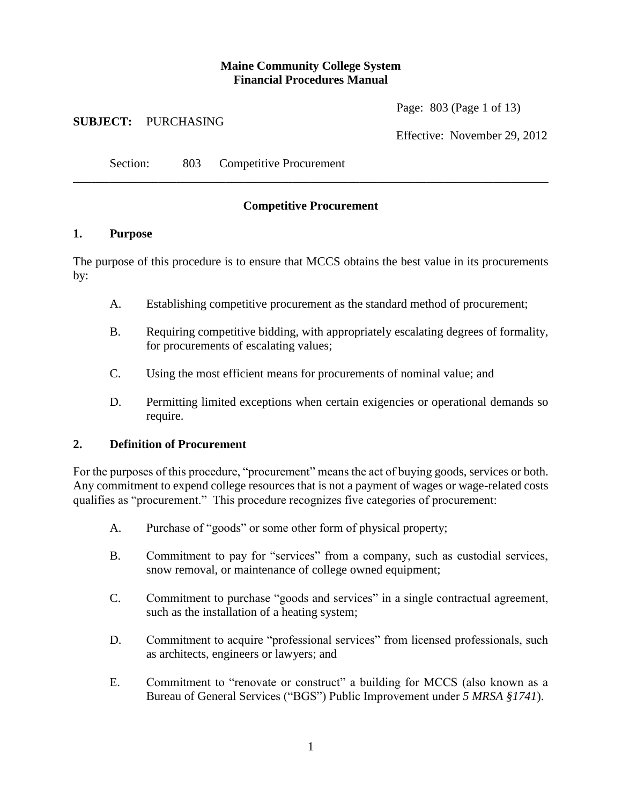## **Maine Community College System Financial Procedures Manual**

Page: 803 (Page 1 of 13)

#### **SUBJECT:** PURCHASING

Effective: November 29, 2012

Section: 803 Competitive Procurement

# **Competitive Procurement**

\_\_\_\_\_\_\_\_\_\_\_\_\_\_\_\_\_\_\_\_\_\_\_\_\_\_\_\_\_\_\_\_\_\_\_\_\_\_\_\_\_\_\_\_\_\_\_\_\_\_\_\_\_\_\_\_\_\_\_\_\_\_\_\_\_\_\_\_\_\_\_\_\_\_\_\_\_\_

#### **1. Purpose**

The purpose of this procedure is to ensure that MCCS obtains the best value in its procurements by:

- A. Establishing competitive procurement as the standard method of procurement;
- B. Requiring competitive bidding, with appropriately escalating degrees of formality, for procurements of escalating values;
- C. Using the most efficient means for procurements of nominal value; and
- D. Permitting limited exceptions when certain exigencies or operational demands so require.

#### **2. Definition of Procurement**

For the purposes of this procedure, "procurement" means the act of buying goods, services or both. Any commitment to expend college resources that is not a payment of wages or wage-related costs qualifies as "procurement." This procedure recognizes five categories of procurement:

- A. Purchase of "goods" or some other form of physical property;
- B. Commitment to pay for "services" from a company, such as custodial services, snow removal, or maintenance of college owned equipment;
- C. Commitment to purchase "goods and services" in a single contractual agreement, such as the installation of a heating system;
- D. Commitment to acquire "professional services" from licensed professionals, such as architects, engineers or lawyers; and
- E. Commitment to "renovate or construct" a building for MCCS (also known as a Bureau of General Services ("BGS") Public Improvement under *5 MRSA §1741*).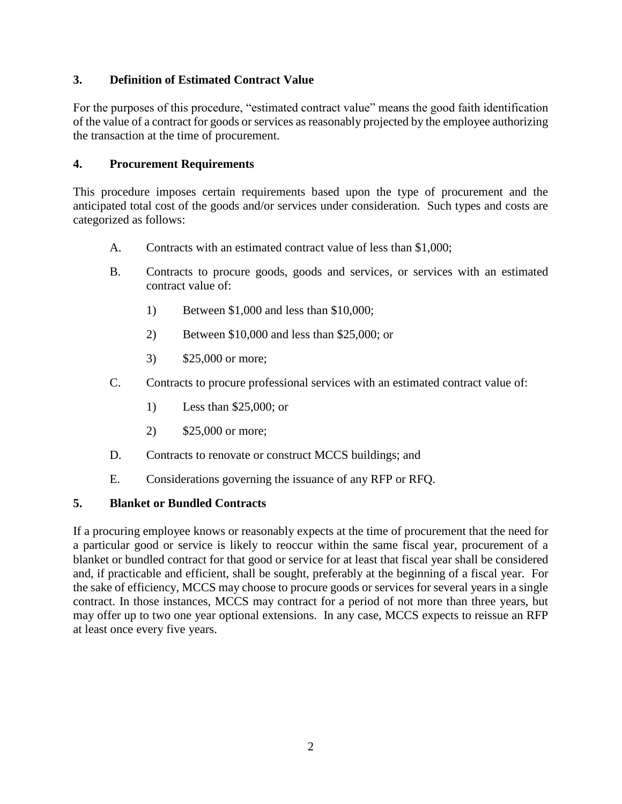## **3. Definition of Estimated Contract Value**

For the purposes of this procedure, "estimated contract value" means the good faith identification of the value of a contract for goods or services as reasonably projected by the employee authorizing the transaction at the time of procurement.

## **4. Procurement Requirements**

This procedure imposes certain requirements based upon the type of procurement and the anticipated total cost of the goods and/or services under consideration. Such types and costs are categorized as follows:

- A. Contracts with an estimated contract value of less than \$1,000;
- B. Contracts to procure goods, goods and services, or services with an estimated contract value of:
	- 1) Between \$1,000 and less than \$10,000;
	- 2) Between \$10,000 and less than \$25,000; or
	- 3) \$25,000 or more;
- C. Contracts to procure professional services with an estimated contract value of:
	- 1) Less than \$25,000; or
	- 2) \$25,000 or more;
- D. Contracts to renovate or construct MCCS buildings; and
- E. Considerations governing the issuance of any RFP or RFQ.

## **5. Blanket or Bundled Contracts**

If a procuring employee knows or reasonably expects at the time of procurement that the need for a particular good or service is likely to reoccur within the same fiscal year, procurement of a blanket or bundled contract for that good or service for at least that fiscal year shall be considered and, if practicable and efficient, shall be sought, preferably at the beginning of a fiscal year. For the sake of efficiency, MCCS may choose to procure goods or services for several years in a single contract. In those instances, MCCS may contract for a period of not more than three years, but may offer up to two one year optional extensions. In any case, MCCS expects to reissue an RFP at least once every five years.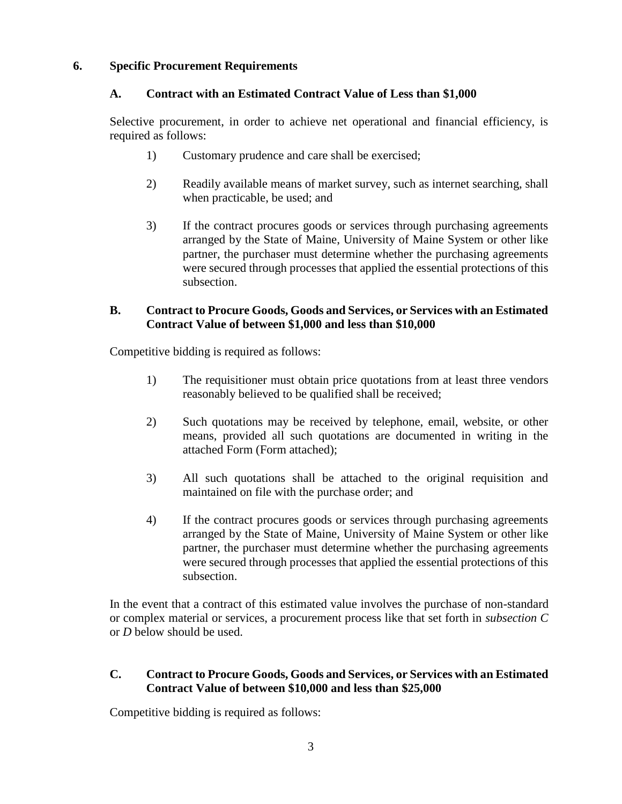#### **6. Specific Procurement Requirements**

#### **A. Contract with an Estimated Contract Value of Less than \$1,000**

Selective procurement, in order to achieve net operational and financial efficiency, is required as follows:

- 1) Customary prudence and care shall be exercised;
- 2) Readily available means of market survey, such as internet searching, shall when practicable, be used; and
- 3) If the contract procures goods or services through purchasing agreements arranged by the State of Maine, University of Maine System or other like partner, the purchaser must determine whether the purchasing agreements were secured through processes that applied the essential protections of this subsection.

#### **B. Contract to Procure Goods, Goods and Services, or Services with an Estimated Contract Value of between \$1,000 and less than \$10,000**

Competitive bidding is required as follows:

- 1) The requisitioner must obtain price quotations from at least three vendors reasonably believed to be qualified shall be received;
- 2) Such quotations may be received by telephone, email, website, or other means, provided all such quotations are documented in writing in the attached Form (Form attached);
- 3) All such quotations shall be attached to the original requisition and maintained on file with the purchase order; and
- 4) If the contract procures goods or services through purchasing agreements arranged by the State of Maine, University of Maine System or other like partner, the purchaser must determine whether the purchasing agreements were secured through processes that applied the essential protections of this subsection.

In the event that a contract of this estimated value involves the purchase of non-standard or complex material or services, a procurement process like that set forth in *subsection C*  or *D* below should be used.

#### **C. Contract to Procure Goods, Goods and Services, or Services with an Estimated Contract Value of between \$10,000 and less than \$25,000**

Competitive bidding is required as follows: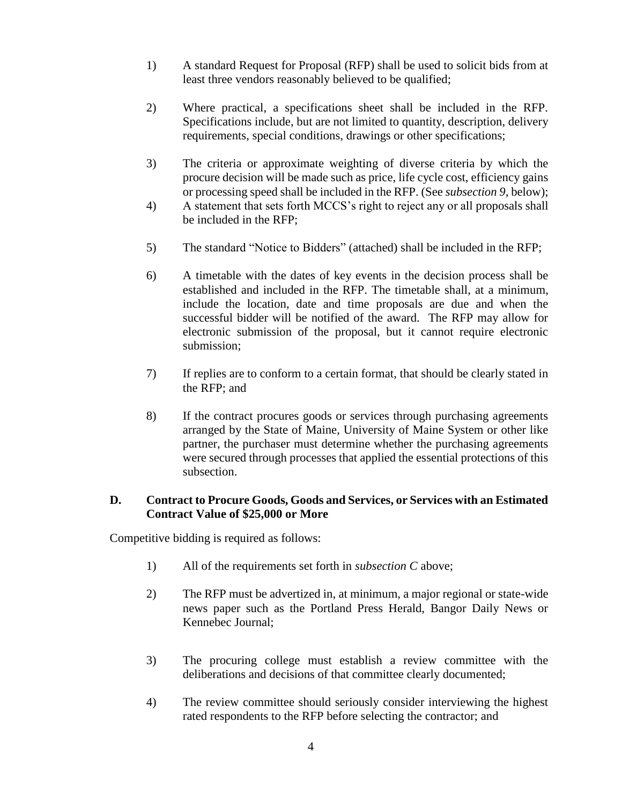- 1) A standard Request for Proposal (RFP) shall be used to solicit bids from at least three vendors reasonably believed to be qualified;
- 2) Where practical, a specifications sheet shall be included in the RFP. Specifications include, but are not limited to quantity, description, delivery requirements, special conditions, drawings or other specifications;
- 3) The criteria or approximate weighting of diverse criteria by which the procure decision will be made such as price, life cycle cost, efficiency gains or processing speed shall be included in the RFP. (See *subsection 9,* below);
- 4) A statement that sets forth MCCS's right to reject any or all proposals shall be included in the RFP;
- 5) The standard "Notice to Bidders" (attached) shall be included in the RFP;
- 6) A timetable with the dates of key events in the decision process shall be established and included in the RFP. The timetable shall, at a minimum, include the location, date and time proposals are due and when the successful bidder will be notified of the award. The RFP may allow for electronic submission of the proposal, but it cannot require electronic submission;
- 7) If replies are to conform to a certain format, that should be clearly stated in the RFP; and
- 8) If the contract procures goods or services through purchasing agreements arranged by the State of Maine, University of Maine System or other like partner, the purchaser must determine whether the purchasing agreements were secured through processes that applied the essential protections of this subsection.

#### **D. Contract to Procure Goods, Goods and Services, or Services with an Estimated Contract Value of \$25,000 or More**

Competitive bidding is required as follows:

- 1) All of the requirements set forth in *subsection C* above;
- 2) The RFP must be advertized in, at minimum, a major regional or state-wide news paper such as the Portland Press Herald, Bangor Daily News or Kennebec Journal;
- 3) The procuring college must establish a review committee with the deliberations and decisions of that committee clearly documented;
- 4) The review committee should seriously consider interviewing the highest rated respondents to the RFP before selecting the contractor; and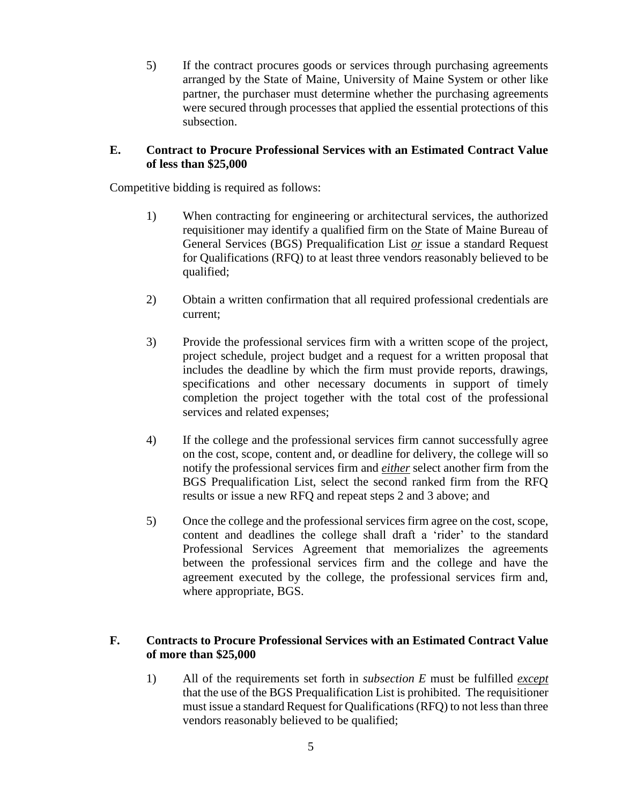5) If the contract procures goods or services through purchasing agreements arranged by the State of Maine, University of Maine System or other like partner, the purchaser must determine whether the purchasing agreements were secured through processes that applied the essential protections of this subsection.

#### **E. Contract to Procure Professional Services with an Estimated Contract Value of less than \$25,000**

Competitive bidding is required as follows:

- 1) When contracting for engineering or architectural services, the authorized requisitioner may identify a qualified firm on the State of Maine Bureau of General Services (BGS) Prequalification List *or* issue a standard Request for Qualifications (RFQ) to at least three vendors reasonably believed to be qualified;
- 2) Obtain a written confirmation that all required professional credentials are current;
- 3) Provide the professional services firm with a written scope of the project, project schedule, project budget and a request for a written proposal that includes the deadline by which the firm must provide reports, drawings, specifications and other necessary documents in support of timely completion the project together with the total cost of the professional services and related expenses;
- 4) If the college and the professional services firm cannot successfully agree on the cost, scope, content and, or deadline for delivery, the college will so notify the professional services firm and *either* select another firm from the BGS Prequalification List, select the second ranked firm from the RFQ results or issue a new RFQ and repeat steps 2 and 3 above; and
- 5) Once the college and the professional services firm agree on the cost, scope, content and deadlines the college shall draft a 'rider' to the standard Professional Services Agreement that memorializes the agreements between the professional services firm and the college and have the agreement executed by the college, the professional services firm and, where appropriate, BGS.

## **F. Contracts to Procure Professional Services with an Estimated Contract Value of more than \$25,000**

1) All of the requirements set forth in *subsection E* must be fulfilled *except* that the use of the BGS Prequalification List is prohibited. The requisitioner must issue a standard Request for Qualifications (RFQ) to not less than three vendors reasonably believed to be qualified;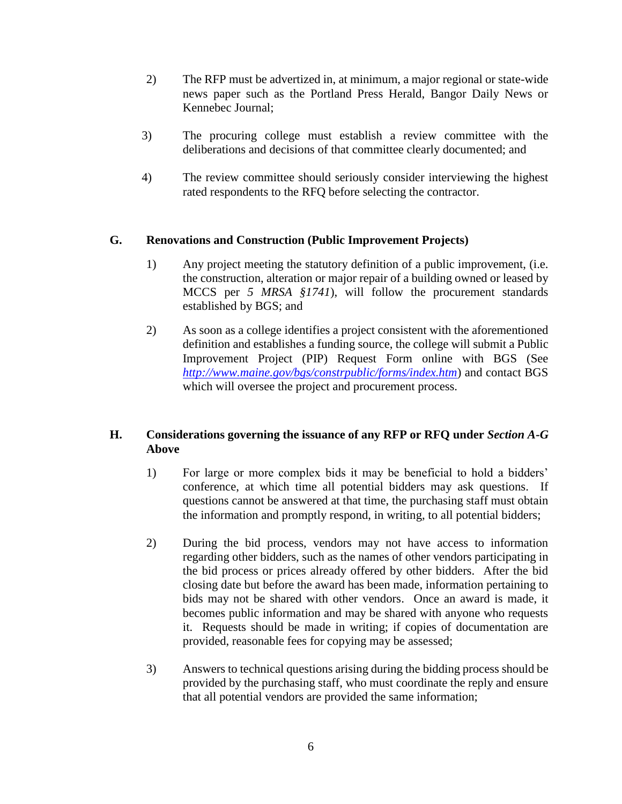- 2) The RFP must be advertized in, at minimum, a major regional or state-wide news paper such as the Portland Press Herald, Bangor Daily News or Kennebec Journal;
- 3) The procuring college must establish a review committee with the deliberations and decisions of that committee clearly documented; and
- 4) The review committee should seriously consider interviewing the highest rated respondents to the RFQ before selecting the contractor.

#### **G. Renovations and Construction (Public Improvement Projects)**

- 1) Any project meeting the statutory definition of a public improvement, (i.e. the construction, alteration or major repair of a building owned or leased by MCCS per *5 MRSA §1741*), will follow the procurement standards established by BGS; and
- 2) As soon as a college identifies a project consistent with the aforementioned definition and establishes a funding source, the college will submit a Public Improvement Project (PIP) Request Form online with BGS (See *<http://www.maine.gov/bgs/constrpublic/forms/index.htm>*) and contact BGS which will oversee the project and procurement process.

## **H. Considerations governing the issuance of any RFP or RFQ under** *Section A-G*  **Above**

- 1) For large or more complex bids it may be beneficial to hold a bidders' conference, at which time all potential bidders may ask questions. If questions cannot be answered at that time, the purchasing staff must obtain the information and promptly respond, in writing, to all potential bidders;
- 2) During the bid process, vendors may not have access to information regarding other bidders, such as the names of other vendors participating in the bid process or prices already offered by other bidders. After the bid closing date but before the award has been made, information pertaining to bids may not be shared with other vendors. Once an award is made, it becomes public information and may be shared with anyone who requests it. Requests should be made in writing; if copies of documentation are provided, reasonable fees for copying may be assessed;
- 3) Answers to technical questions arising during the bidding process should be provided by the purchasing staff, who must coordinate the reply and ensure that all potential vendors are provided the same information;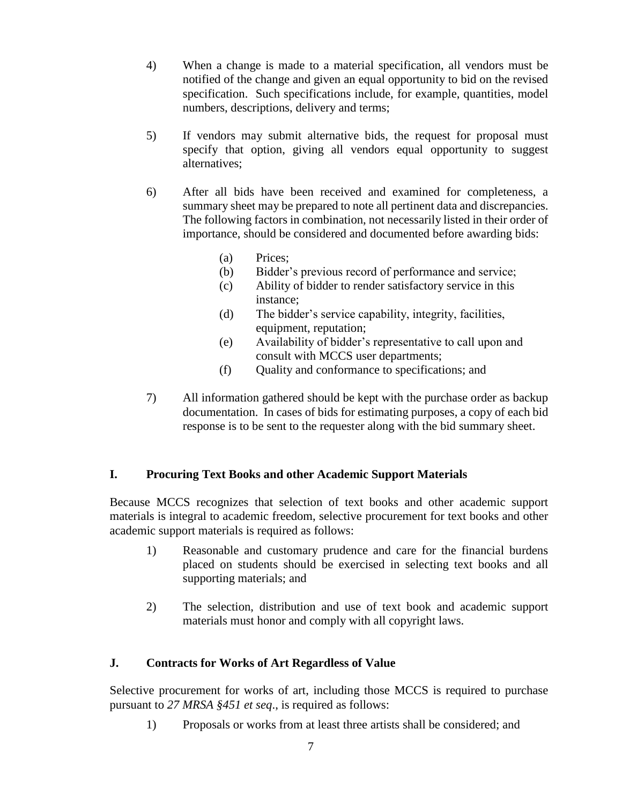- 4) When a change is made to a material specification, all vendors must be notified of the change and given an equal opportunity to bid on the revised specification. Such specifications include, for example, quantities, model numbers, descriptions, delivery and terms;
- 5) If vendors may submit alternative bids, the request for proposal must specify that option, giving all vendors equal opportunity to suggest alternatives;
- 6) After all bids have been received and examined for completeness, a summary sheet may be prepared to note all pertinent data and discrepancies. The following factors in combination, not necessarily listed in their order of importance, should be considered and documented before awarding bids:
	- (a) Prices;
	- (b) Bidder's previous record of performance and service;
	- (c) Ability of bidder to render satisfactory service in this instance;
	- (d) The bidder's service capability, integrity, facilities, equipment, reputation;
	- (e) Availability of bidder's representative to call upon and consult with MCCS user departments;
	- (f) Quality and conformance to specifications; and
- 7) All information gathered should be kept with the purchase order as backup documentation. In cases of bids for estimating purposes, a copy of each bid response is to be sent to the requester along with the bid summary sheet.

## **I. Procuring Text Books and other Academic Support Materials**

Because MCCS recognizes that selection of text books and other academic support materials is integral to academic freedom, selective procurement for text books and other academic support materials is required as follows:

- 1) Reasonable and customary prudence and care for the financial burdens placed on students should be exercised in selecting text books and all supporting materials; and
- 2) The selection, distribution and use of text book and academic support materials must honor and comply with all copyright laws.

## **J. Contracts for Works of Art Regardless of Value**

Selective procurement for works of art, including those MCCS is required to purchase pursuant to *27 MRSA §451 et seq*., is required as follows:

1) Proposals or works from at least three artists shall be considered; and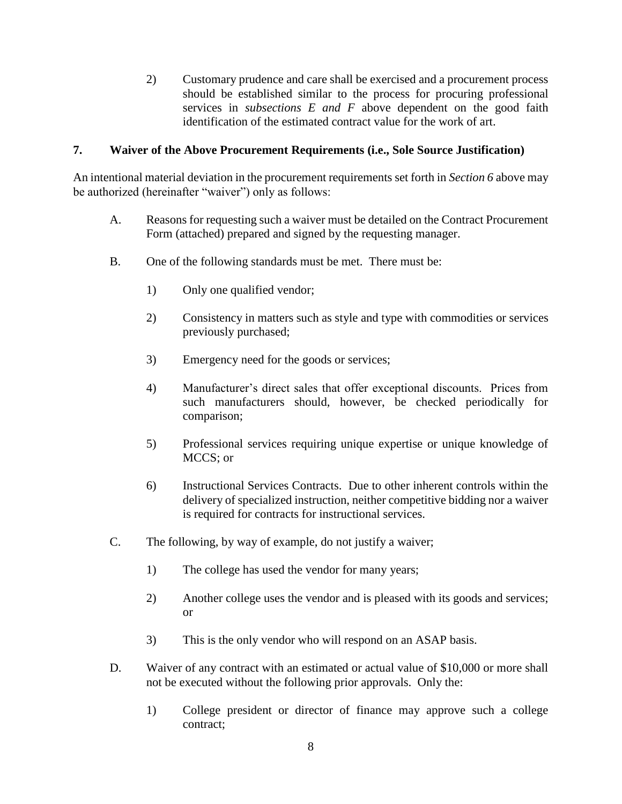2) Customary prudence and care shall be exercised and a procurement process should be established similar to the process for procuring professional services in *subsections E and F* above dependent on the good faith identification of the estimated contract value for the work of art.

#### **7. Waiver of the Above Procurement Requirements (i.e., Sole Source Justification)**

An intentional material deviation in the procurement requirements set forth in *Section 6* above may be authorized (hereinafter "waiver") only as follows:

- A. Reasons for requesting such a waiver must be detailed on the Contract Procurement Form (attached) prepared and signed by the requesting manager.
- B. One of the following standards must be met. There must be:
	- 1) Only one qualified vendor;
	- 2) Consistency in matters such as style and type with commodities or services previously purchased;
	- 3) Emergency need for the goods or services;
	- 4) Manufacturer's direct sales that offer exceptional discounts. Prices from such manufacturers should, however, be checked periodically for comparison;
	- 5) Professional services requiring unique expertise or unique knowledge of MCCS; or
	- 6) Instructional Services Contracts. Due to other inherent controls within the delivery of specialized instruction, neither competitive bidding nor a waiver is required for contracts for instructional services.
- C. The following, by way of example, do not justify a waiver;
	- 1) The college has used the vendor for many years;
	- 2) Another college uses the vendor and is pleased with its goods and services; or
	- 3) This is the only vendor who will respond on an ASAP basis.
- D. Waiver of any contract with an estimated or actual value of \$10,000 or more shall not be executed without the following prior approvals. Only the:
	- 1) College president or director of finance may approve such a college contract;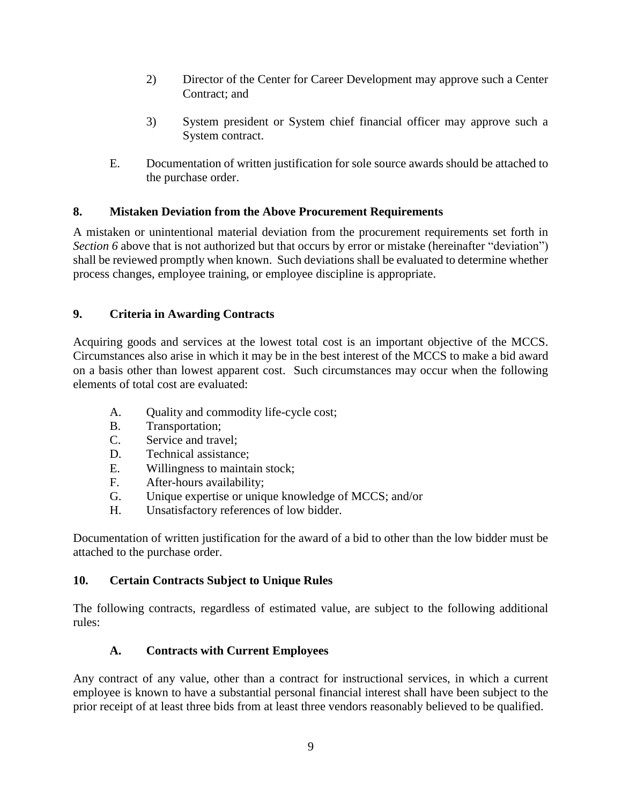- 2) Director of the Center for Career Development may approve such a Center Contract; and
- 3) System president or System chief financial officer may approve such a System contract.
- E. Documentation of written justification for sole source awards should be attached to the purchase order.

# **8. Mistaken Deviation from the Above Procurement Requirements**

A mistaken or unintentional material deviation from the procurement requirements set forth in *Section 6* above that is not authorized but that occurs by error or mistake (hereinafter "deviation") shall be reviewed promptly when known. Such deviations shall be evaluated to determine whether process changes, employee training, or employee discipline is appropriate.

# **9. Criteria in Awarding Contracts**

Acquiring goods and services at the lowest total cost is an important objective of the MCCS. Circumstances also arise in which it may be in the best interest of the MCCS to make a bid award on a basis other than lowest apparent cost. Such circumstances may occur when the following elements of total cost are evaluated:

- A. Quality and commodity life-cycle cost;
- B. Transportation;
- C. Service and travel;
- D. Technical assistance;
- E. Willingness to maintain stock;
- F. After-hours availability;
- G. Unique expertise or unique knowledge of MCCS; and/or
- H. Unsatisfactory references of low bidder.

Documentation of written justification for the award of a bid to other than the low bidder must be attached to the purchase order.

## **10. Certain Contracts Subject to Unique Rules**

The following contracts, regardless of estimated value, are subject to the following additional rules:

# **A. Contracts with Current Employees**

Any contract of any value, other than a contract for instructional services, in which a current employee is known to have a substantial personal financial interest shall have been subject to the prior receipt of at least three bids from at least three vendors reasonably believed to be qualified.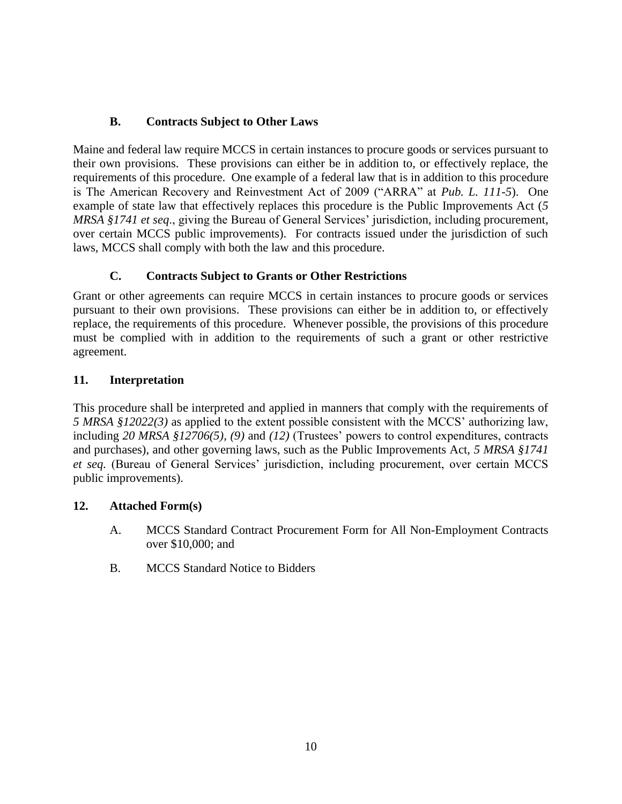# **B. Contracts Subject to Other Laws**

Maine and federal law require MCCS in certain instances to procure goods or services pursuant to their own provisions. These provisions can either be in addition to, or effectively replace, the requirements of this procedure. One example of a federal law that is in addition to this procedure is The American Recovery and Reinvestment Act of 2009 ("ARRA" at *Pub. L. 111-5*). One example of state law that effectively replaces this procedure is the Public Improvements Act (*5 MRSA §1741 et seq*., giving the Bureau of General Services' jurisdiction, including procurement, over certain MCCS public improvements). For contracts issued under the jurisdiction of such laws, MCCS shall comply with both the law and this procedure.

# **C. Contracts Subject to Grants or Other Restrictions**

Grant or other agreements can require MCCS in certain instances to procure goods or services pursuant to their own provisions. These provisions can either be in addition to, or effectively replace, the requirements of this procedure. Whenever possible, the provisions of this procedure must be complied with in addition to the requirements of such a grant or other restrictive agreement.

## **11. Interpretation**

This procedure shall be interpreted and applied in manners that comply with the requirements of *5 MRSA §12022(3)* as applied to the extent possible consistent with the MCCS' authorizing law, including *20 MRSA §12706(5), (9)* and *(12)* (Trustees' powers to control expenditures, contracts and purchases), and other governing laws, such as the Public Improvements Act, *5 MRSA §1741 et seq.* (Bureau of General Services' jurisdiction, including procurement, over certain MCCS public improvements).

## **12. Attached Form(s)**

- A. MCCS Standard Contract Procurement Form for All Non-Employment Contracts over \$10,000; and
- B. MCCS Standard Notice to Bidders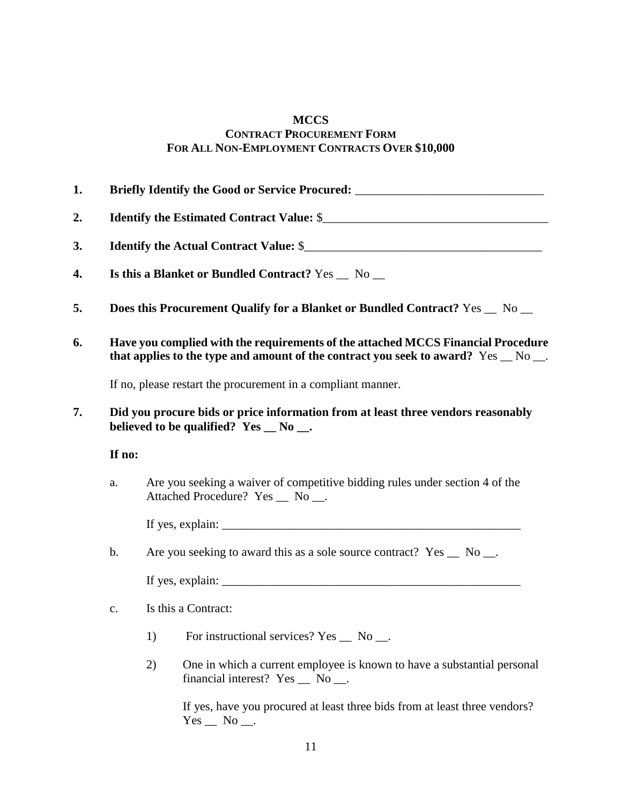## **MCCS CONTRACT PROCUREMENT FORM FOR ALL NON-EMPLOYMENT CONTRACTS OVER \$10,000**

| 1. |                                                                                                                                      | Briefly Identify the Good or Service Procured: _________________________________                                                                                       |  |  |  |
|----|--------------------------------------------------------------------------------------------------------------------------------------|------------------------------------------------------------------------------------------------------------------------------------------------------------------------|--|--|--|
| 2. |                                                                                                                                      |                                                                                                                                                                        |  |  |  |
| 3. | Is this a Blanket or Bundled Contract? Yes _ No _                                                                                    |                                                                                                                                                                        |  |  |  |
| 4. |                                                                                                                                      |                                                                                                                                                                        |  |  |  |
| 5. | Does this Procurement Qualify for a Blanket or Bundled Contract? Yes _ No _                                                          |                                                                                                                                                                        |  |  |  |
| 6. |                                                                                                                                      | Have you complied with the requirements of the attached MCCS Financial Procedure<br>that applies to the type and amount of the contract you seek to award? Yes _ No _. |  |  |  |
|    | If no, please restart the procurement in a compliant manner.                                                                         |                                                                                                                                                                        |  |  |  |
| 7. | Did you procure bids or price information from at least three vendors reasonably<br>believed to be qualified? Yes $\_\ N$ o $\_\_$ . |                                                                                                                                                                        |  |  |  |
|    | If no:                                                                                                                               |                                                                                                                                                                        |  |  |  |
|    | a.                                                                                                                                   | Are you seeking a waiver of competitive bidding rules under section 4 of the<br>Attached Procedure? Yes _ No _.                                                        |  |  |  |
|    |                                                                                                                                      |                                                                                                                                                                        |  |  |  |
|    | $b$ .                                                                                                                                | Are you seeking to award this as a sole source contract? Yes _ No _.                                                                                                   |  |  |  |
|    |                                                                                                                                      |                                                                                                                                                                        |  |  |  |
|    | c.                                                                                                                                   | Is this a Contract:                                                                                                                                                    |  |  |  |
|    |                                                                                                                                      | For instructional services? Yes _ No __.<br>1)                                                                                                                         |  |  |  |
|    |                                                                                                                                      | One in which a current employee is known to have a substantial personal<br>2)<br>financial interest? Yes _ No __.                                                      |  |  |  |

If yes, have you procured at least three bids from at least three vendors?  $Yes$   $No$   $\_\_$ .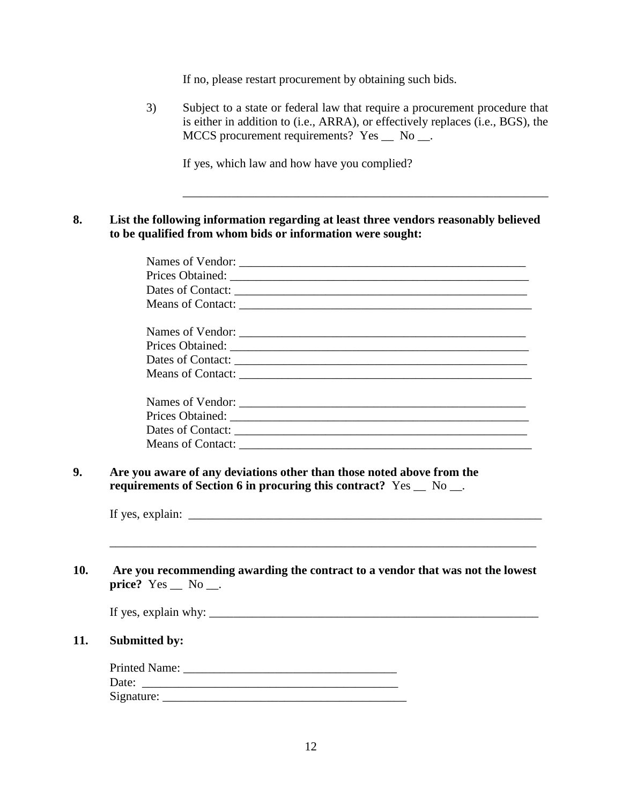If no, please restart procurement by obtaining such bids.

3) Subject to a state or federal law that require a procurement procedure that is either in addition to (i.e., ARRA), or effectively replaces (i.e., BGS), the MCCS procurement requirements? Yes \_\_ No \_\_.

\_\_\_\_\_\_\_\_\_\_\_\_\_\_\_\_\_\_\_\_\_\_\_\_\_\_\_\_\_\_\_\_\_\_\_\_\_\_\_\_\_\_\_\_\_\_\_\_\_\_\_\_\_\_\_\_\_\_\_\_

If yes, which law and how have you complied?

**8. List the following information regarding at least three vendors reasonably believed to be qualified from whom bids or information were sought:**

**10. Are you recommending awarding the contract to a vendor that was not the lowest price?** Yes \_\_ No \_\_.

| If yes, explain why: |  |  |
|----------------------|--|--|

\_\_\_\_\_\_\_\_\_\_\_\_\_\_\_\_\_\_\_\_\_\_\_\_\_\_\_\_\_\_\_\_\_\_\_\_\_\_\_\_\_\_\_\_\_\_\_\_\_\_\_\_\_\_\_\_\_\_\_\_\_\_\_\_\_\_\_\_\_\_

#### **11. Submitted by:**

| Printed Name: |  |
|---------------|--|
| Date:         |  |
| Signature:    |  |